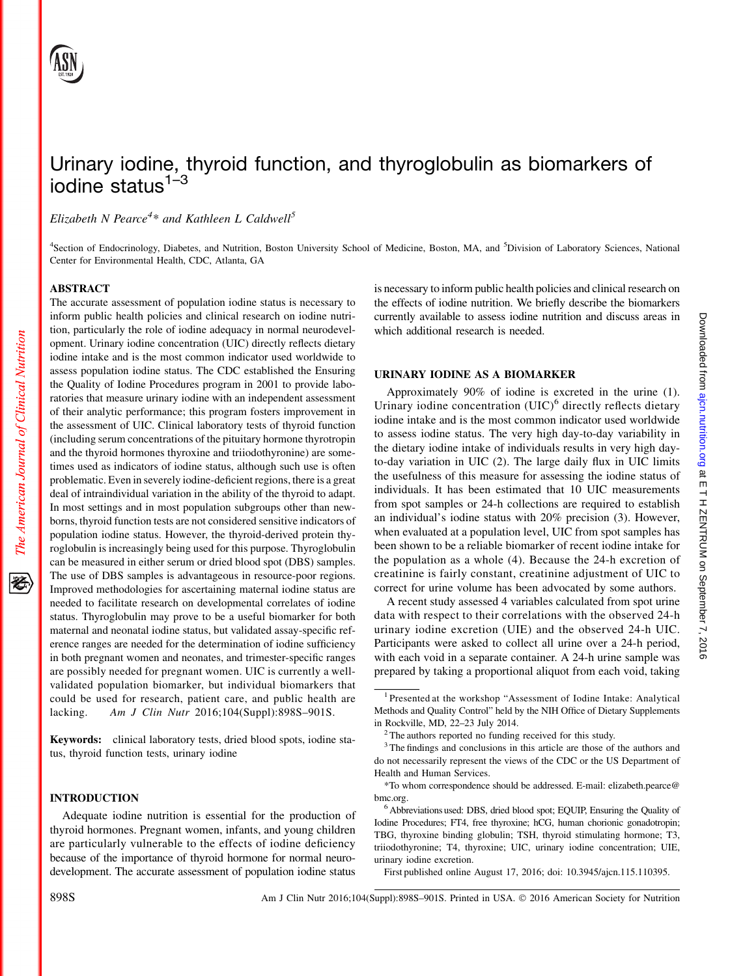# Urinary iodine, thyroid function, and thyroglobulin as biomarkers of iodine status $1/3$

Elizabeth N Pearce<sup>4\*</sup> and Kathleen L Caldwell<sup>5</sup>

<sup>4</sup>Section of Endocrinology, Diabetes, and Nutrition, Boston University School of Medicine, Boston, MA, and <sup>5</sup>Division of Laboratory Sciences, National Center for Environmental Health, CDC, Atlanta, GA

### ABSTRACT

The American Journal of Clinical Nutrition

移

The accurate assessment of population iodine status is necessary to inform public health policies and clinical research on iodine nutrition, particularly the role of iodine adequacy in normal neurodevelopment. Urinary iodine concentration (UIC) directly reflects dietary iodine intake and is the most common indicator used worldwide to assess population iodine status. The CDC established the Ensuring the Quality of Iodine Procedures program in 2001 to provide laboratories that measure urinary iodine with an independent assessment of their analytic performance; this program fosters improvement in the assessment of UIC. Clinical laboratory tests of thyroid function (including serum concentrations of the pituitary hormone thyrotropin and the thyroid hormones thyroxine and triiodothyronine) are sometimes used as indicators of iodine status, although such use is often problematic. Even in severely iodine-deficient regions, there is a great deal of intraindividual variation in the ability of the thyroid to adapt. In most settings and in most population subgroups other than newborns, thyroid function tests are not considered sensitive indicators of population iodine status. However, the thyroid-derived protein thyroglobulin is increasingly being used for this purpose. Thyroglobulin can be measured in either serum or dried blood spot (DBS) samples. The use of DBS samples is advantageous in resource-poor regions. Improved methodologies for ascertaining maternal iodine status are needed to facilitate research on developmental correlates of iodine status. Thyroglobulin may prove to be a useful biomarker for both maternal and neonatal iodine status, but validated assay-specific reference ranges are needed for the determination of iodine sufficiency in both pregnant women and neonates, and trimester-specific ranges are possibly needed for pregnant women. UIC is currently a wellvalidated population biomarker, but individual biomarkers that could be used for research, patient care, and public health are lacking. Am J Clin Nutr 2016;104(Suppl):898S–901S.

Keywords: clinical laboratory tests, dried blood spots, iodine status, thyroid function tests, urinary iodine

# INTRODUCTION

Adequate iodine nutrition is essential for the production of thyroid hormones. Pregnant women, infants, and young children are particularly vulnerable to the effects of iodine deficiency because of the importance of thyroid hormone for normal neurodevelopment. The accurate assessment of population iodine status

is necessary to inform public health policies and clinical research on the effects of iodine nutrition. We briefly describe the biomarkers currently available to assess iodine nutrition and discuss areas in which additional research is needed.

### URINARY IODINE AS A BIOMARKER

Approximately 90% of iodine is excreted in the urine (1). Urinary iodine concentration  $(UIC)^6$  directly reflects dietary iodine intake and is the most common indicator used worldwide to assess iodine status. The very high day-to-day variability in the dietary iodine intake of individuals results in very high dayto-day variation in UIC (2). The large daily flux in UIC limits the usefulness of this measure for assessing the iodine status of individuals. It has been estimated that 10 UIC measurements from spot samples or 24-h collections are required to establish an individual's iodine status with 20% precision (3). However, when evaluated at a population level, UIC from spot samples has been shown to be a reliable biomarker of recent iodine intake for the population as a whole (4). Because the 24-h excretion of creatinine is fairly constant, creatinine adjustment of UIC to correct for urine volume has been advocated by some authors.

A recent study assessed 4 variables calculated from spot urine data with respect to their correlations with the observed 24-h urinary iodine excretion (UIE) and the observed 24-h UIC. Participants were asked to collect all urine over a 24-h period, with each void in a separate container. A 24-h urine sample was prepared by taking a proportional aliquot from each void, taking

<sup>&</sup>lt;sup>1</sup> Presented at the workshop "Assessment of Iodine Intake: Analytical Methods and Quality Control" held by the NIH Office of Dietary Supplements in Rockville, MD, 22–23 July 2014.

 $2$  The authors reported no funding received for this study.

<sup>&</sup>lt;sup>3</sup> The findings and conclusions in this article are those of the authors and do not necessarily represent the views of the CDC or the US Department of Health and Human Services.

<sup>\*</sup>To whom correspondence should be addressed. E-mail: elizabeth.pearce@ bmc.org.

<sup>6</sup> Abbreviations used: DBS, dried blood spot; EQUIP, Ensuring the Quality of Iodine Procedures; FT4, free thyroxine; hCG, human chorionic gonadotropin; TBG, thyroxine binding globulin; TSH, thyroid stimulating hormone; T3, triiodothyronine; T4, thyroxine; UIC, urinary iodine concentration; UIE, urinary iodine excretion.

First published online August 17, 2016; doi: 10.3945/ajcn.115.110395.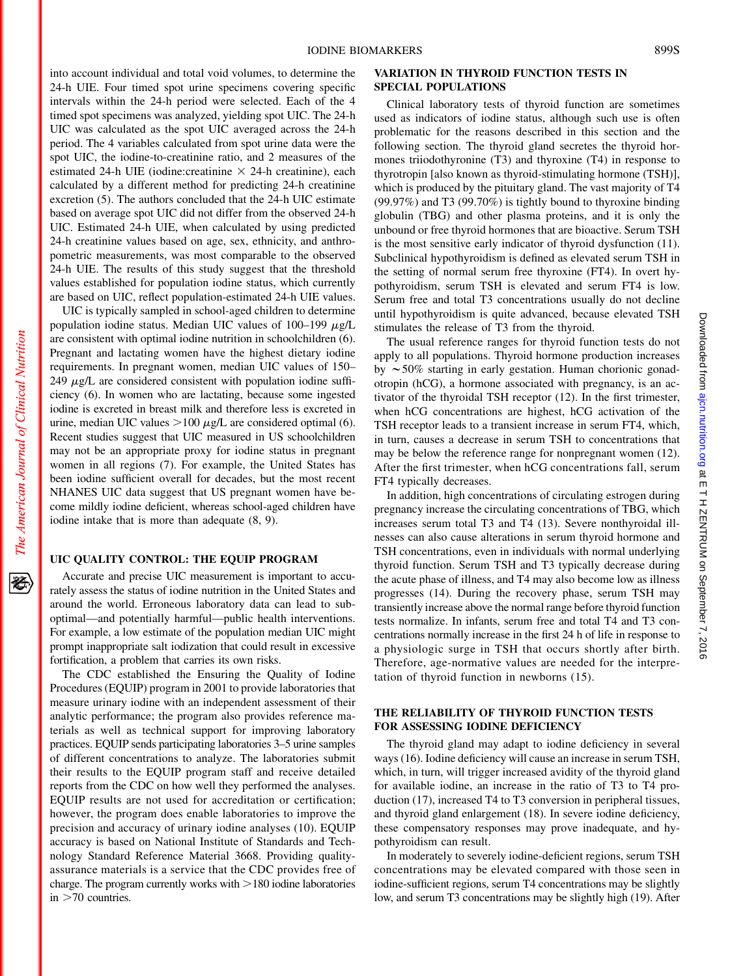into account individual and total void volumes, to determine the 24-h UIE. Four timed spot urine specimens covering specific intervals within the 24-h period were selected. Each of the 4 timed spot specimens was analyzed, yielding spot UIC. The 24-h UIC was calculated as the spot UIC averaged across the 24-h period. The 4 variables calculated from spot urine data were the spot UIC, the iodine-to-creatinine ratio, and 2 measures of the estimated 24-h UIE (iodine: creatinine  $\times$  24-h creatinine), each calculated by a different method for predicting 24-h creatinine excretion (5). The authors concluded that the 24-h UIC estimate based on average spot UIC did not differ from the observed 24-h UIC. Estimated 24-h UIE, when calculated by using predicted 24-h creatinine values based on age, sex, ethnicity, and anthropometric measurements, was most comparable to the observed 24-h UIE. The results of this study suggest that the threshold values established for population iodine status, which currently are based on UIC, reflect population-estimated 24-h UIE values.

UIC is typically sampled in school-aged children to determine population iodine status. Median UIC values of  $100-199$   $\mu$ g/L are consistent with optimal iodine nutrition in schoolchildren (6). Pregnant and lactating women have the highest dietary iodine requirements. In pregnant women, median UIC values of 150– 249  $\mu$ g/L are considered consistent with population iodine sufficiency (6). In women who are lactating, because some ingested iodine is excreted in breast milk and therefore less is excreted in urine, median UIC values  $>100 \mu g/L$  are considered optimal (6). Recent studies suggest that UIC measured in US schoolchildren may not be an appropriate proxy for iodine status in pregnant women in all regions (7). For example, the United States has been iodine sufficient overall for decades, but the most recent NHANES UIC data suggest that US pregnant women have become mildly iodine deficient, whereas school-aged children have iodine intake that is more than adequate (8, 9).

#### UIC QUALITY CONTROL: THE EQUIP PROGRAM

Accurate and precise UIC measurement is important to accurately assess the status of iodine nutrition in the United States and around the world. Erroneous laboratory data can lead to suboptimal—and potentially harmful—public health interventions. For example, a low estimate of the population median UIC might prompt inappropriate salt iodization that could result in excessive fortification, a problem that carries its own risks.

The CDC established the Ensuring the Quality of Iodine Procedures (EQUIP) program in 2001 to provide laboratories that measure urinary iodine with an independent assessment of their analytic performance; the program also provides reference materials as well as technical support for improving laboratory practices. EQUIP sends participating laboratories 3–5 urine samples of different concentrations to analyze. The laboratories submit their results to the EQUIP program staff and receive detailed reports from the CDC on how well they performed the analyses. EQUIP results are not used for accreditation or certification; however, the program does enable laboratories to improve the precision and accuracy of urinary iodine analyses (10). EQUIP accuracy is based on National Institute of Standards and Technology Standard Reference Material 3668. Providing qualityassurance materials is a service that the CDC provides free of charge. The program currently works with  $>180$  iodine laboratories in  $>70$  countries.

## VARIATION IN THYROID FUNCTION TESTS IN SPECIAL POPULATIONS

Clinical laboratory tests of thyroid function are sometimes used as indicators of iodine status, although such use is often problematic for the reasons described in this section and the following section. The thyroid gland secretes the thyroid hormones triiodothyronine (T3) and thyroxine (T4) in response to thyrotropin [also known as thyroid-stimulating hormone (TSH)], which is produced by the pituitary gland. The vast majority of T4 (99.97%) and T3 (99.70%) is tightly bound to thyroxine binding globulin (TBG) and other plasma proteins, and it is only the unbound or free thyroid hormones that are bioactive. Serum TSH is the most sensitive early indicator of thyroid dysfunction (11). Subclinical hypothyroidism is defined as elevated serum TSH in the setting of normal serum free thyroxine (FT4). In overt hypothyroidism, serum TSH is elevated and serum FT4 is low. Serum free and total T3 concentrations usually do not decline until hypothyroidism is quite advanced, because elevated TSH stimulates the release of T3 from the thyroid.

The usual reference ranges for thyroid function tests do not apply to all populations. Thyroid hormone production increases by  $\sim$  50% starting in early gestation. Human chorionic gonadotropin (hCG), a hormone associated with pregnancy, is an activator of the thyroidal TSH receptor (12). In the first trimester, when hCG concentrations are highest, hCG activation of the TSH receptor leads to a transient increase in serum FT4, which, in turn, causes a decrease in serum TSH to concentrations that may be below the reference range for nonpregnant women (12). After the first trimester, when hCG concentrations fall, serum FT4 typically decreases.

In addition, high concentrations of circulating estrogen during pregnancy increase the circulating concentrations of TBG, which increases serum total T3 and T4 (13). Severe nonthyroidal illnesses can also cause alterations in serum thyroid hormone and TSH concentrations, even in individuals with normal underlying thyroid function. Serum TSH and T3 typically decrease during the acute phase of illness, and T4 may also become low as illness progresses (14). During the recovery phase, serum TSH may transiently increase above the normal range before thyroid function tests normalize. In infants, serum free and total T4 and T3 concentrations normally increase in the first 24 h of life in response to a physiologic surge in TSH that occurs shortly after birth. Therefore, age-normative values are needed for the interpretation of thyroid function in newborns (15).

# THE RELIABILITY OF THYROID FUNCTION TESTS FOR ASSESSING IODINE DEFICIENCY

The thyroid gland may adapt to iodine deficiency in several ways (16). Iodine deficiency will cause an increase in serum TSH, which, in turn, will trigger increased avidity of the thyroid gland for available iodine, an increase in the ratio of T3 to T4 production (17), increased T4 to T3 conversion in peripheral tissues, and thyroid gland enlargement (18). In severe iodine deficiency, these compensatory responses may prove inadequate, and hypothyroidism can result.

In moderately to severely iodine-deficient regions, serum TSH concentrations may be elevated compared with those seen in iodine-sufficient regions, serum T4 concentrations may be slightly low, and serum T3 concentrations may be slightly high (19). After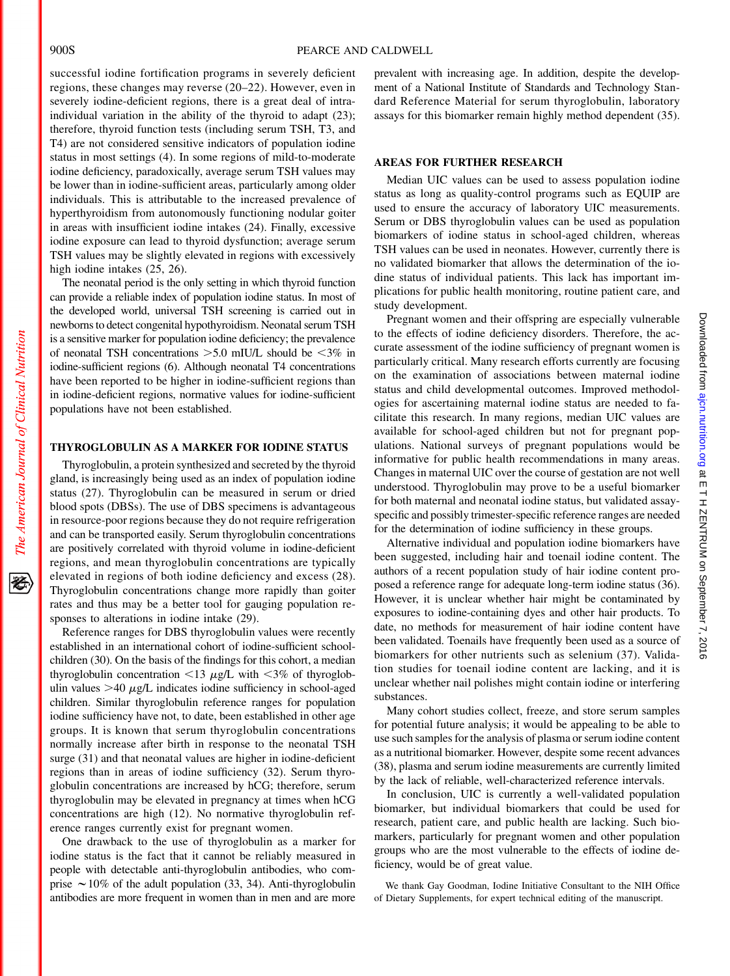The American Journal of Clinical Nutrition

犵

successful iodine fortification programs in severely deficient regions, these changes may reverse (20–22). However, even in severely iodine-deficient regions, there is a great deal of intraindividual variation in the ability of the thyroid to adapt (23); therefore, thyroid function tests (including serum TSH, T3, and T4) are not considered sensitive indicators of population iodine status in most settings (4). In some regions of mild-to-moderate iodine deficiency, paradoxically, average serum TSH values may be lower than in iodine-sufficient areas, particularly among older individuals. This is attributable to the increased prevalence of hyperthyroidism from autonomously functioning nodular goiter in areas with insufficient iodine intakes (24). Finally, excessive iodine exposure can lead to thyroid dysfunction; average serum TSH values may be slightly elevated in regions with excessively high iodine intakes (25, 26).

The neonatal period is the only setting in which thyroid function can provide a reliable index of population iodine status. In most of the developed world, universal TSH screening is carried out in newborns to detect congenital hypothyroidism. Neonatal serum TSH is a sensitive marker for population iodine deficiency; the prevalence of neonatal TSH concentrations  $>5.0$  mIU/L should be  $\leq 3\%$  in iodine-sufficient regions (6). Although neonatal T4 concentrations have been reported to be higher in iodine-sufficient regions than in iodine-deficient regions, normative values for iodine-sufficient populations have not been established.

#### THYROGLOBULIN AS A MARKER FOR IODINE STATUS

Thyroglobulin, a protein synthesized and secreted by the thyroid gland, is increasingly being used as an index of population iodine status (27). Thyroglobulin can be measured in serum or dried blood spots (DBSs). The use of DBS specimens is advantageous in resource-poor regions because they do not require refrigeration and can be transported easily. Serum thyroglobulin concentrations are positively correlated with thyroid volume in iodine-deficient regions, and mean thyroglobulin concentrations are typically elevated in regions of both iodine deficiency and excess (28). Thyroglobulin concentrations change more rapidly than goiter rates and thus may be a better tool for gauging population responses to alterations in iodine intake (29).

Reference ranges for DBS thyroglobulin values were recently established in an international cohort of iodine-sufficient schoolchildren (30). On the basis of the findings for this cohort, a median thyroglobulin concentration <13  $\mu$ g/L with <3% of thyroglobulin values  $>40 \mu g/L$  indicates iodine sufficiency in school-aged children. Similar thyroglobulin reference ranges for population iodine sufficiency have not, to date, been established in other age groups. It is known that serum thyroglobulin concentrations normally increase after birth in response to the neonatal TSH surge (31) and that neonatal values are higher in iodine-deficient regions than in areas of iodine sufficiency (32). Serum thyroglobulin concentrations are increased by hCG; therefore, serum thyroglobulin may be elevated in pregnancy at times when hCG concentrations are high (12). No normative thyroglobulin reference ranges currently exist for pregnant women.

One drawback to the use of thyroglobulin as a marker for iodine status is the fact that it cannot be reliably measured in people with detectable anti-thyroglobulin antibodies, who comprise  $\sim$  10% of the adult population (33, 34). Anti-thyroglobulin antibodies are more frequent in women than in men and are more

prevalent with increasing age. In addition, despite the development of a National Institute of Standards and Technology Standard Reference Material for serum thyroglobulin, laboratory assays for this biomarker remain highly method dependent (35).

### AREAS FOR FURTHER RESEARCH

Median UIC values can be used to assess population iodine status as long as quality-control programs such as EQUIP are used to ensure the accuracy of laboratory UIC measurements. Serum or DBS thyroglobulin values can be used as population biomarkers of iodine status in school-aged children, whereas TSH values can be used in neonates. However, currently there is no validated biomarker that allows the determination of the iodine status of individual patients. This lack has important implications for public health monitoring, routine patient care, and study development.

Pregnant women and their offspring are especially vulnerable to the effects of iodine deficiency disorders. Therefore, the accurate assessment of the iodine sufficiency of pregnant women is particularly critical. Many research efforts currently are focusing on the examination of associations between maternal iodine status and child developmental outcomes. Improved methodologies for ascertaining maternal iodine status are needed to facilitate this research. In many regions, median UIC values are available for school-aged children but not for pregnant populations. National surveys of pregnant populations would be informative for public health recommendations in many areas. Changes in maternal UIC over the course of gestation are not well understood. Thyroglobulin may prove to be a useful biomarker for both maternal and neonatal iodine status, but validated assayspecific and possibly trimester-specific reference ranges are needed for the determination of iodine sufficiency in these groups.

Alternative individual and population iodine biomarkers have been suggested, including hair and toenail iodine content. The authors of a recent population study of hair iodine content proposed a reference range for adequate long-term iodine status (36). However, it is unclear whether hair might be contaminated by exposures to iodine-containing dyes and other hair products. To date, no methods for measurement of hair iodine content have been validated. Toenails have frequently been used as a source of biomarkers for other nutrients such as selenium (37). Validation studies for toenail iodine content are lacking, and it is unclear whether nail polishes might contain iodine or interfering substances.

Many cohort studies collect, freeze, and store serum samples for potential future analysis; it would be appealing to be able to use such samples for the analysis of plasma or serum iodine content as a nutritional biomarker. However, despite some recent advances (38), plasma and serum iodine measurements are currently limited by the lack of reliable, well-characterized reference intervals.

In conclusion, UIC is currently a well-validated population biomarker, but individual biomarkers that could be used for research, patient care, and public health are lacking. Such biomarkers, particularly for pregnant women and other population groups who are the most vulnerable to the effects of iodine deficiency, would be of great value.

We thank Gay Goodman, Iodine Initiative Consultant to the NIH Office of Dietary Supplements, for expert technical editing of the manuscript.